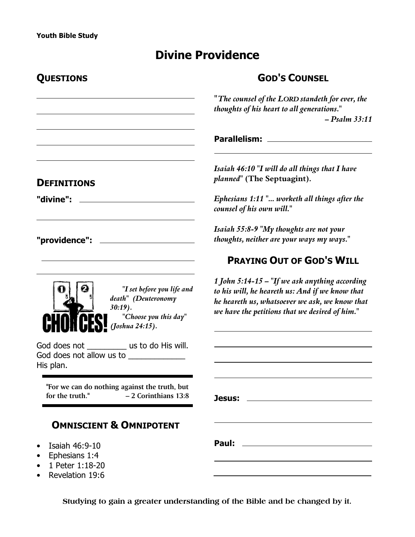# **Divine Providence**

| QUESTIONS                                                                                                  | <b>GOD'S COUNSEL</b>                                                                                                                                                                                  |
|------------------------------------------------------------------------------------------------------------|-------------------------------------------------------------------------------------------------------------------------------------------------------------------------------------------------------|
|                                                                                                            | "The counsel of the LORD standeth for ever, the<br>thoughts of his heart to all generations."<br>$-$ Psalm 33:11                                                                                      |
|                                                                                                            |                                                                                                                                                                                                       |
| <b>DEFINITIONS</b>                                                                                         | Isaiah 46:10 "I will do all things that I have<br>planned" (The Septuagint).                                                                                                                          |
| "divine":                                                                                                  | Ephesians 1:11" worketh all things after the<br>counsel of his own will."                                                                                                                             |
|                                                                                                            | Isaiah 55:8-9 "My thoughts are not your<br>thoughts, neither are your ways my ways."                                                                                                                  |
|                                                                                                            | <b>PRAYING OUT OF GOD'S WILL</b>                                                                                                                                                                      |
| "I set before you life and<br>death" (Deuteronomy<br>$30:19$ .<br>"Choose you this day"<br>(Joshua 24:15). | 1 John 5:14-15 – "If we ask anything according<br>to his will, he heareth us: And if we know that<br>he heareth us, whatsoever we ask, we know that<br>we have the petitions that we desired of him." |
| God does not _____________ us to do His will.<br>God does not allow us to _____________<br>His plan.       |                                                                                                                                                                                                       |
| "For we can do nothing against the truth, but<br>for the truth."<br>$-2$ Corinthians 13:8                  | Jesus:                                                                                                                                                                                                |
| <b>OMNISCIENT &amp; OMNIPOTENT</b>                                                                         |                                                                                                                                                                                                       |
| Isaiah 46:9-10<br>Ephesians 1:4<br>1 Peter 1:18-20<br>Revelation 19:6                                      |                                                                                                                                                                                                       |

**Studying to gain a greater understanding of the Bible and be changed by it.**